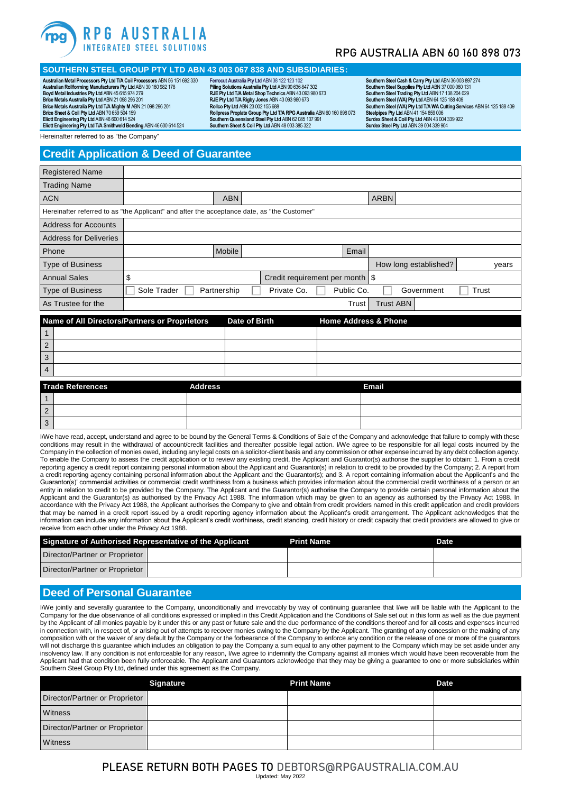

## RPG AUSTRALIA ABN 60 160 898 073

## **SOUTHERN STEEL GROUP PTY LTD ABN 43 003 067 838 AND SUBSIDIARIES:**

**Australian Metal Processors Pty Ltd T/A Coil Processors** ABN 56 151 692 330 **Australian Rollforming Manufacturers Pty Ltd** ABN 30 160 982 178 **Boyd Metal Industries Pty Ltd** ABN 45 615 974 279 **Brice Metals Australia Pty Ltd** ABN 21 098 296 201

**Brice Metals Australia Pty Ltd T/A Mighty M** ABN 21 098 296 201 **Brice Sheet & Coil Pty Ltd** ABN 70 659 504 159 **Eliott Engineering Pty Ltd** ABN 46 600 614 524

**Eliott Engineering Pty Ltd T/A Smithweld Bending** ABN 46 600 614 524

**Ferrocut Australia Pty Ltd** ABN 38 122 123 102 **Piling Solutions Australia Pty Ltd** ABN 90 636 847 302 **RJE Pty Ltd T/A Metal Shop Technics** ABN 43 093 980 673 **RJE Pty Ltd T/A Rigby Jones** ABN 43 093 980 673 **Rollco Pty Ltd** ABN 23 002 155 688 **Rollpress Proplate Group Pty Ltd T/A RPG Australia** ABN 60 160 898 073 **SouthernQueensland Steel Pty Ltd** ABN 62 085 107 991 **Southern Sheet & Coil Pty Ltd** ABN 48 003 385 322

Southern Steel Cash & Carry Pty Ltd ABN 36 003 897 274<br>Southern Steel Supplies Pty Ltd ABN 37 000 060 131<br>Southern Steel (Trading Pty Ltd ABN 17 138 204 029<br>Southern Steel (WA) Pty Ltd ABN 64 125 188 409 **Southern Steel (WA) Pty Ltd T/A WA Cutting Services** ABN 64 125 188 409 **Steelpipes Pty Ltd** ABN 41 154 859 006 **Surdex Sheet & Coil Pty Ltd** ABN 43 004 339 922 **Surdex Steel Pty Ltd** ABN 39 004 339 904

Hereinafter referred to as "the Company

### **Credit Application & Deed of Guarantee**

| <b>Registered Name</b>                                                                      |             |             |                                  |            |                       |       |
|---------------------------------------------------------------------------------------------|-------------|-------------|----------------------------------|------------|-----------------------|-------|
| <b>Trading Name</b>                                                                         |             |             |                                  |            |                       |       |
| <b>ACN</b>                                                                                  |             | <b>ABN</b>  |                                  |            | <b>ARBN</b>           |       |
| Hereinafter referred to as "the Applicant" and after the acceptance date, as "the Customer" |             |             |                                  |            |                       |       |
| <b>Address for Accounts</b>                                                                 |             |             |                                  |            |                       |       |
| <b>Address for Deliveries</b>                                                               |             |             |                                  |            |                       |       |
| Phone                                                                                       |             | Mobile      |                                  | Email      |                       |       |
| <b>Type of Business</b>                                                                     |             |             |                                  |            | How long established? | years |
| <b>Annual Sales</b>                                                                         | \$          |             | Credit requirement per month \\$ |            |                       |       |
| <b>Type of Business</b>                                                                     | Sole Trader | Partnership | Private Co.                      | Public Co. | Government            | Trust |
| As Trustee for the                                                                          |             |             |                                  | Trust      | <b>Trust ABN</b>      |       |
|                                                                                             |             |             |                                  |            |                       |       |

|                | Name of All Directors/Partners or Proprietors | Date of Birth | <b>Home Address &amp; Phone</b> |
|----------------|-----------------------------------------------|---------------|---------------------------------|
|                |                                               |               |                                 |
| $\overline{2}$ |                                               |               |                                 |
| 3              |                                               |               |                                 |
| $\overline{4}$ |                                               |               |                                 |

|                | <b>Trade References</b> | <b>Address</b> | <b>Email</b> |
|----------------|-------------------------|----------------|--------------|
|                |                         |                |              |
| $\overline{2}$ |                         |                |              |
| l 3            |                         |                |              |

I/We have read, accept, understand and agree to be bound by the General Terms & Conditions of Sale of the Company and acknowledge that failure to comply with these conditions may result in the withdrawal of account/credit facilities and thereafter possible legal action. I/We agree to be responsible for all legal costs incurred by the Company in the collection of monies owed, including any legal costs on a solicitor-client basis and any commission or other expense incurred by any debt collection agency. To enable the Company to assess the credit application or to review any existing credit, the Applicant and Guarantor(s) authorise the supplier to obtain: 1. From a credit reporting agency a credit report containing personal information about the Applicant and Guarantor(s) in relation to credit to be provided by the Company; 2. A report from a credit reporting agency containing personal information about the Applicant and the Guarantor(s); and 3. A report containing information about the Applicant's and the Guarantor(s)' commercial activities or commercial credit worthiness from a business which provides information about the commercial credit worthiness of a person or an entity in relation to credit to be provided by the Company. The Applicant and the Guarantor(s) authorise the Company to provide certain personal information about the Applicant and the Guarantor(s) as authorised by the Privacy Act 1988. The information which may be given to an agency as authorised by the Privacy Act 1988. In accordance with the Privacy Act 1988, the Applicant authorises the Company to give and obtain from credit providers named in this credit application and credit providers that may be named in a credit report issued by a credit reporting agency information about the Applicant's credit arrangement. The Applicant acknowledges that the information can include any information about the Applicant's credit worthiness, credit standing, credit history or credit capacity that credit providers are allowed to give or receive from each other under the Privacy Act 1988.

| Signature of Authorised Representative of the Applicant | <b>Print Name</b> | Date |
|---------------------------------------------------------|-------------------|------|
| Director/Partner or Proprietor                          |                   |      |
| Director/Partner or Proprietor                          |                   |      |

### **Deed of Personal Guarantee**

I/We jointly and severally guarantee to the Company, unconditionally and irrevocably by way of continuing guarantee that I/we will be liable with the Applicant to the Company for the due observance of all conditions expressed or implied in this Credit Application and the Conditions of Sale set out in this form as well as the due payment by the Applicant of all monies payable by it under this or any past or future sale and the due performance of the conditions thereof and for all costs and expenses incurred in connection with, in respect of, or arising out of attempts to recover monies owing to the Company by the Applicant. The granting of any concession or the making of any composition with or the waiver of any default by the Company or the forbearance of the Company to enforce any condition or the release of one or more of the guarantors will not discharge this guarantee which includes an obligation to pay the Company a sum equal to any other payment to the Company which may be set aside under any insolvency law. If any condition is not enforceable for any reason, I/we agree to indemnify the Company against all monies which would have been recoverable from the Applicant had that condition been fully enforceable. The Applicant and Guarantors acknowledge that they may be giving a guarantee to one or more subsidiaries within Southern Steel Group Pty Ltd, defined under this agreement as the Company

|                                | <b>Signature</b> | <b>Print Name</b> | <b>Date</b> |
|--------------------------------|------------------|-------------------|-------------|
| Director/Partner or Proprietor |                  |                   |             |
| Witness                        |                  |                   |             |
| Director/Partner or Proprietor |                  |                   |             |
| Witness                        |                  |                   |             |